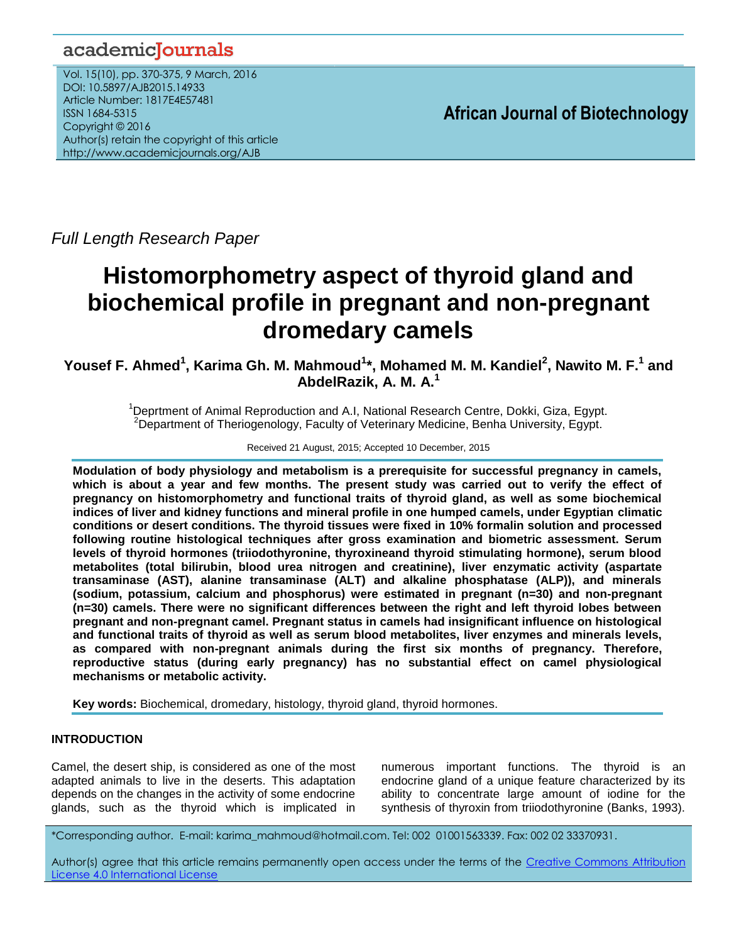# academicJournals

Vol. 15(10), pp. 370-375, 9 March, 2016 DOI: 10.5897/AJB2015.14933 Article Number: 1817E4E57481 ISSN 1684-5315 Copyright © 2016 Author(s) retain the copyright of this article http://www.academicjournals.org/AJB

**African Journal of Biotechnology**

*Full Length Research Paper*

# **Histomorphometry aspect of thyroid gland and biochemical profile in pregnant and non-pregnant dromedary camels**

**Yousef F. Ahmed<sup>1</sup> , Karima Gh. M. Mahmoud<sup>1</sup> \*, Mohamed M. M. Kandiel<sup>2</sup> , Nawito M. F.<sup>1</sup> and AbdelRazik, A. M. A.<sup>1</sup>**

> <sup>1</sup>Deprtment of Animal Reproduction and A.I, National Research Centre, Dokki, Giza, Egypt. <sup>2</sup>Department of Theriogenology, Faculty of Veterinary Medicine, Benha University, Egypt.

> > Received 21 August, 2015; Accepted 10 December, 2015

**Modulation of body physiology and metabolism is a prerequisite for successful pregnancy in camels, which is about a year and few months. The present study was carried out to verify the effect of pregnancy on histomorphometry and functional traits of thyroid gland, as well as some biochemical indices of liver and kidney functions and mineral profile in one humped camels, under Egyptian climatic conditions or desert conditions. The thyroid tissues were fixed in 10% formalin solution and processed following routine histological techniques after gross examination and biometric assessment. Serum levels of thyroid hormones (triiodothyronine, thyroxineand thyroid stimulating hormone), serum blood metabolites (total bilirubin, blood urea nitrogen and creatinine), liver enzymatic activity (aspartate transaminase (AST), alanine transaminase (ALT) and alkaline phosphatase (ALP)), and minerals (sodium, potassium, calcium and phosphorus) were estimated in pregnant (n=30) and non-pregnant (n=30) camels. There were no significant differences between the right and left thyroid lobes between pregnant and non-pregnant camel. Pregnant status in camels had insignificant influence on histological and functional traits of thyroid as well as serum blood metabolites, liver enzymes and minerals levels, as compared with non-pregnant animals during the first six months of pregnancy. Therefore, reproductive status (during early pregnancy) has no substantial effect on camel physiological mechanisms or metabolic activity.**

**Key words:** Biochemical, dromedary, histology, thyroid gland, thyroid hormones.

# **INTRODUCTION**

Camel, the desert ship, is considered as one of the most adapted animals to live in the deserts. This adaptation depends on the changes in the activity of some endocrine glands, such as the thyroid which is implicated in numerous important functions. The thyroid is an endocrine gland of a unique feature characterized by its ability to concentrate large amount of iodine for the synthesis of thyroxin from triiodothyronine (Banks, 1993).

\*Corresponding author. E-mail: karima\_mahmoud@hotmail.com. Tel: 002 01001563339. Fax: 002 02 33370931.

Author(s) agree that this article remains permanently open access under the terms of the [Creative Commons Attribution](http://creativecommons.org/licenses/by/4.0/deed.en_US)  [License 4.0 International License](http://creativecommons.org/licenses/by/4.0/deed.en_US)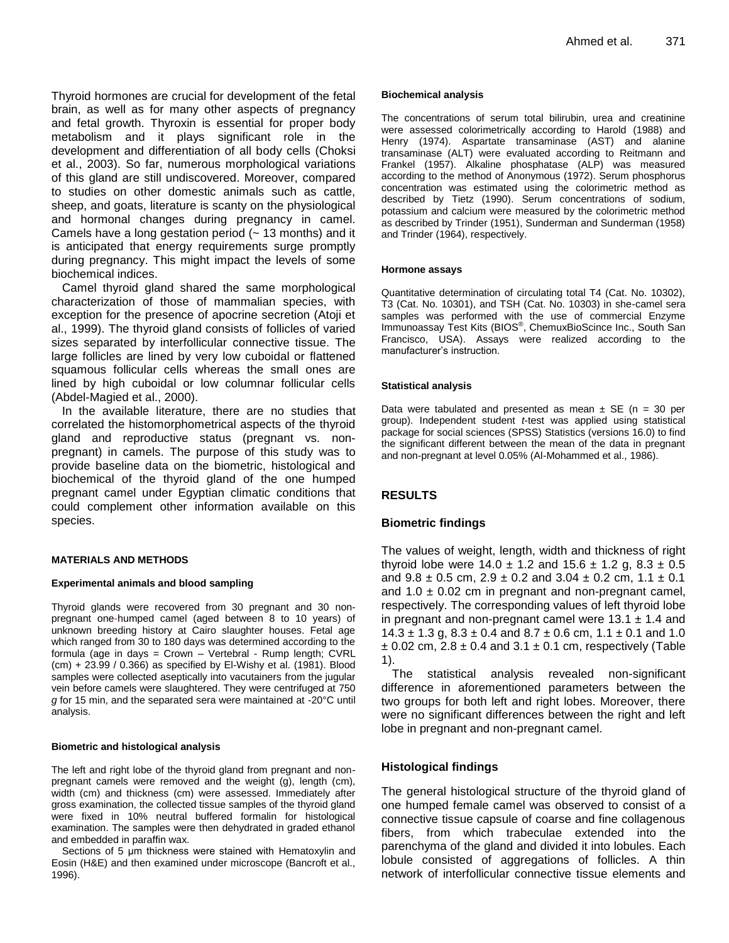Thyroid hormones are crucial for development of the fetal brain, as well as for many other aspects of pregnancy and fetal growth. Thyroxin is essential for proper body metabolism and it plays significant role in the development and differentiation of all body cells (Choksi et al., 2003). So far, numerous morphological variations of this gland are still undiscovered. Moreover, compared to studies on other domestic animals such as cattle, sheep, and goats, literature is scanty on the physiological and hormonal changes during pregnancy in camel. Camels have a long gestation period  $($   $\sim$  13 months) and it is anticipated that energy requirements surge promptly during pregnancy. This might impact the levels of some biochemical indices.

Camel thyroid gland shared the same morphological characterization of those of mammalian species, with exception for the presence of apocrine secretion (Atoji et al., 1999). The thyroid gland consists of follicles of varied sizes separated by interfollicular connective tissue. The large follicles are lined by very low cuboidal or flattened squamous follicular cells whereas the small ones are lined by high cuboidal or low columnar follicular cells (Abdel-Magied et al., 2000).

In the available literature, there are no studies that correlated the histomorphometrical aspects of the thyroid gland and reproductive status (pregnant vs*.* nonpregnant) in camels. The purpose of this study was to provide baseline data on the biometric, histological and biochemical of the thyroid gland of the one humped pregnant camel under Egyptian climatic conditions that could complement other information available on this species.

#### **MATERIALS AND METHODS**

#### **Experimental animals and blood sampling**

Thyroid glands were recovered from 30 pregnant and 30 nonpregnant one-humped camel (aged between 8 to 10 years) of unknown breeding history at Cairo slaughter houses. Fetal age which ranged from 30 to 180 days was determined according to the formula (age in days = Crown – Vertebral - Rump length; CVRL (cm) + 23.99 / 0.366) as specified by El-Wishy et al. (1981). Blood samples were collected aseptically into vacutainers from the jugular vein before camels were slaughtered. They were centrifuged at 750 *g* for 15 min, and the separated sera were maintained at -20°C until analysis.

#### **Biometric and histological analysis**

The left and right lobe of the thyroid gland from pregnant and nonpregnant camels were removed and the weight (g), length (cm), width (cm) and thickness (cm) were assessed. Immediately after gross examination, the collected tissue samples of the thyroid gland were fixed in 10% neutral buffered formalin for histological examination. The samples were then dehydrated in graded ethanol and embedded in paraffin wax.

Sections of 5 μm thickness were stained with Hematoxylin and Eosin (H&E) and then examined under microscope (Bancroft et al., 1996).

#### **Biochemical analysis**

The concentrations of serum total bilirubin, urea and creatinine were assessed colorimetrically according to Harold (1988) and Henry (1974). Aspartate transaminase (AST) and alanine transaminase (ALT) were evaluated according to Reitmann and Frankel (1957). Alkaline phosphatase (ALP) was measured according to the method of Anonymous (1972). Serum phosphorus concentration was estimated using the colorimetric method as described by Tietz (1990). Serum concentrations of sodium, potassium and calcium were measured by the colorimetric method as described by Trinder (1951), Sunderman and Sunderman (1958) and Trinder (1964), respectively.

#### **Hormone assays**

Quantitative determination of circulating total T4 (Cat. No. 10302), T3 (Cat. No. 10301), and TSH (Cat. No. 10303) in she-camel sera samples was performed with the use of commercial Enzyme Immunoassay Test Kits (BIOS® , ChemuxBioScince Inc., South San Francisco, USA). Assays were realized according to the manufacturer's instruction.

#### **Statistical analysis**

Data were tabulated and presented as mean  $\pm$  SE (n = 30 per group). Independent student *t*-test was applied using statistical package for social sciences (SPSS) Statistics (versions 16.0) to find the significant different between the mean of the data in pregnant and non-pregnant at level 0.05% (Al-Mohammed et al., 1986).

#### **RESULTS**

#### **Biometric findings**

The values of weight, length, width and thickness of right thyroid lobe were  $14.0 \pm 1.2$  and  $15.6 \pm 1.2$  g,  $8.3 \pm 0.5$ and  $9.8 \pm 0.5$  cm,  $2.9 \pm 0.2$  and  $3.04 \pm 0.2$  cm,  $1.1 \pm 0.1$ and  $1.0 \pm 0.02$  cm in pregnant and non-pregnant camel, respectively. The corresponding values of left thyroid lobe in pregnant and non-pregnant camel were  $13.1 \pm 1.4$  and  $14.3 \pm 1.3$  g,  $8.3 \pm 0.4$  and  $8.7 \pm 0.6$  cm,  $1.1 \pm 0.1$  and  $1.0$  $\pm$  0.02 cm, 2.8  $\pm$  0.4 and 3.1  $\pm$  0.1 cm, respectively (Table 1).

The statistical analysis revealed non-significant difference in aforementioned parameters between the two groups for both left and right lobes. Moreover, there were no significant differences between the right and left lobe in pregnant and non-pregnant camel.

#### **Histological findings**

The general histological structure of the thyroid gland of one humped female camel was observed to consist of a connective tissue capsule of coarse and fine collagenous fibers, from which trabeculae extended into the parenchyma of the gland and divided it into lobules. Each lobule consisted of aggregations of follicles. A thin network of interfollicular connective tissue elements and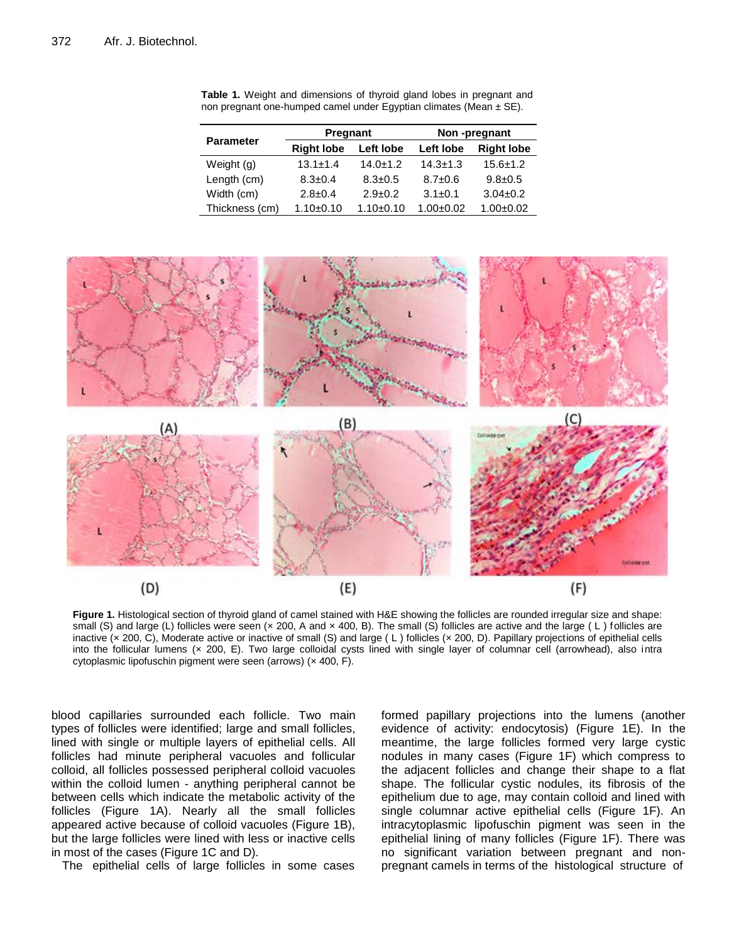|                  | Pregnant          |                | Non-pregnant  |                   |
|------------------|-------------------|----------------|---------------|-------------------|
| <b>Parameter</b> | <b>Right lobe</b> | Left lobe      | Left lobe     | <b>Right lobe</b> |
| Weight (g)       | $13.1 \pm 1.4$    | $14.0 \pm 1.2$ | $14.3 + 1.3$  | $15.6 \pm 1.2$    |
| Length (cm)      | $8.3 \pm 0.4$     | $8.3 \pm 0.5$  | $8.7 \pm 0.6$ | $9.8 \pm 0.5$     |
| Width (cm)       | $2.8 \pm 0.4$     | $2.9 \pm 0.2$  | $3.1 \pm 0.1$ | $3.04 \pm 0.2$    |
| Thickness (cm)   | $1.10+0.10$       | $1.10+0.10$    | $1.00 + 0.02$ | $1.00 \pm 0.02$   |

**Table 1.** Weight and dimensions of thyroid gland lobes in pregnant and non pregnant one-humped camel under Egyptian climates (Mean  $\pm$  SE).



**Figure 1.** Histological section of thyroid gland of camel stained with H&E showing the follicles are rounded irregular size and shape: small (S) and large (L) follicles were seen ( $\times$  200, A and  $\times$  400, B). The small (S) follicles are active and the large (L) follicles are inactive (× 200, C), Moderate active or inactive of small (S) and large ( L ) follicles (× 200, D). Papillary projections of epithelial cells into the follicular lumens (x 200, E). Two large colloidal cysts lined with single layer of columnar cell (arrowhead), also intra cytoplasmic lipofuschin pigment were seen (arrows) (x 400, F).

blood capillaries surrounded each follicle. Two main types of follicles were identified; large and small follicles, lined with single or multiple layers of epithelial cells. All follicles had minute peripheral vacuoles and follicular colloid, all follicles possessed peripheral colloid vacuoles within the colloid lumen - anything peripheral cannot be between cells which indicate the metabolic activity of the follicles (Figure 1A). Nearly all the small follicles appeared active because of colloid vacuoles (Figure 1B), but the large follicles were lined with less or inactive cells in most of the cases (Figure 1C and D).

The epithelial cells of large follicles in some cases

formed papillary projections into the lumens (another evidence of activity: endocytosis) (Figure 1E). In the meantime, the large follicles formed very large cystic nodules in many cases (Figure 1F) which compress to the adjacent follicles and change their shape to a flat shape. The follicular cystic nodules, its fibrosis of the epithelium due to age, may contain colloid and lined with single columnar active epithelial cells (Figure 1F). An intracytoplasmic lipofuschin pigment was seen in the epithelial lining of many follicles (Figure 1F). There was no significant variation between pregnant and nonpregnant camels in terms of the histological structure of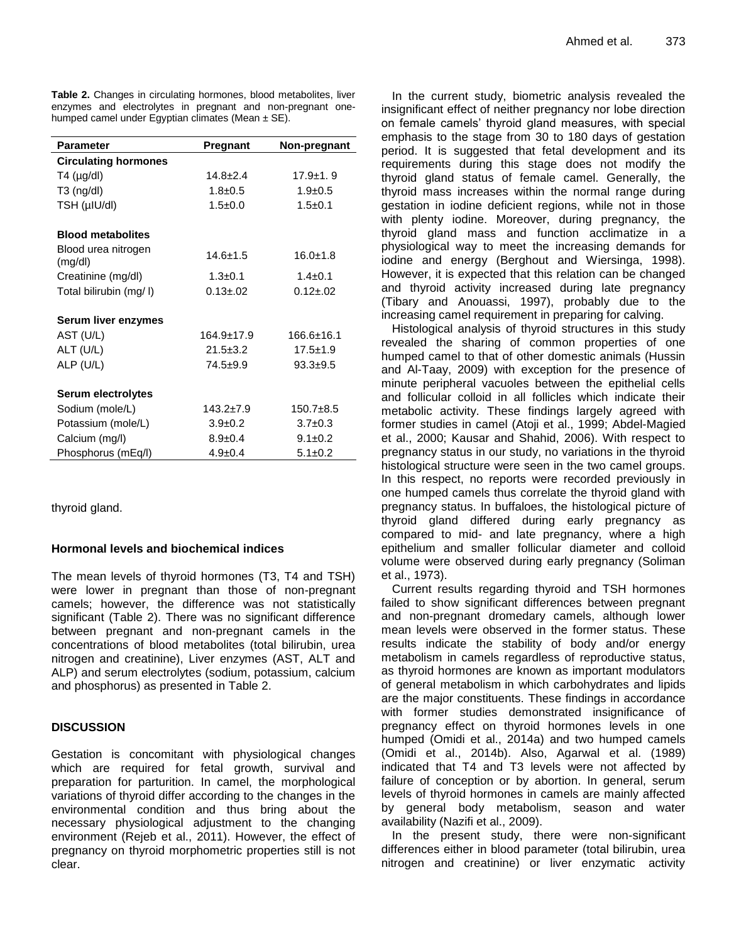**Table 2.** Changes in circulating hormones, blood metabolites, liver enzymes and electrolytes in pregnant and non-pregnant onehumped camel under Egyptian climates (Mean  $\pm$  SE).

| <b>Parameter</b>               | Pregnant        | Non-pregnant   |
|--------------------------------|-----------------|----------------|
| <b>Circulating hormones</b>    |                 |                |
| $T4 \text{ (µg/dl)}$           | $14.8 \pm 2.4$  | $17.9 \pm 1.9$ |
| $T3$ (ng/dl)                   | $1.8 + 0.5$     | $1.9 \pm 0.5$  |
| TSH (µIU/dl)                   | $1.5 \pm 0.0$   | $1.5 + 0.1$    |
| <b>Blood metabolites</b>       |                 |                |
| Blood urea nitrogen<br>(mg/dl) | $14.6 + 1.5$    | $16.0 \pm 1.8$ |
| Creatinine (mg/dl)             | $1.3 \pm 0.1$   | $1.4 \pm 0.1$  |
| Total bilirubin (mg/l)         | $0.13 \pm 0.02$ | $0.12 + 0.02$  |
| Serum liver enzymes            |                 |                |
| AST (U/L)                      | 164.9±17.9      | 166.6+16.1     |
| ALT (U/L)                      | $21.5 \pm 3.2$  | $17.5 \pm 1.9$ |
| ALP (U/L)                      | $74.5+9.9$      | $93.3 + 9.5$   |
| Serum electrolytes             |                 |                |
| Sodium (mole/L)                | $143.2 \pm 7.9$ | $150.7 + 8.5$  |
| Potassium (mole/L)             | $3.9 \pm 0.2$   | $3.7 \pm 0.3$  |
| Calcium (mg/l)                 | $8.9 \pm 0.4$   | $9.1 \pm 0.2$  |
| Phosphorus (mEq/l)             | $4.9 \pm 0.4$   | $5.1 \pm 0.2$  |

thyroid gland.

# **Hormonal levels and biochemical indices**

The mean levels of thyroid hormones (T3, T4 and TSH) were lower in pregnant than those of non-pregnant camels; however, the difference was not statistically significant (Table 2). There was no significant difference between pregnant and non-pregnant camels in the concentrations of blood metabolites (total bilirubin, urea nitrogen and creatinine), Liver enzymes (AST, ALT and ALP) and serum electrolytes (sodium, potassium, calcium and phosphorus) as presented in Table 2.

# **DISCUSSION**

Gestation is concomitant with physiological changes which are required for fetal growth, survival and preparation for parturition. In camel, the morphological variations of thyroid differ according to the changes in the environmental condition and thus bring about the necessary physiological adjustment to the changing environment (Rejeb et al., 2011). However, the effect of pregnancy on thyroid morphometric properties still is not clear.

In the current study, biometric analysis revealed the insignificant effect of neither pregnancy nor lobe direction on female camels' thyroid gland measures, with special emphasis to the stage from 30 to 180 days of gestation period. It is suggested that fetal development and its requirements during this stage does not modify the thyroid gland status of female camel. Generally, the thyroid mass increases within the normal range during gestation in iodine deficient regions, while not in those with plenty iodine. Moreover, during pregnancy, the thyroid gland mass and function acclimatize in a physiological way to meet the increasing demands for iodine and energy (Berghout and Wiersinga, 1998). However, it is expected that this relation can be changed and thyroid activity increased during late pregnancy (Tibary and Anouassi, 1997), probably due to the increasing camel requirement in preparing for calving.

Histological analysis of thyroid structures in this study revealed the sharing of common properties of one humped camel to that of other domestic animals (Hussin and Al-Taay, 2009) with exception for the presence of minute peripheral vacuoles between the epithelial cells and follicular colloid in all follicles which indicate their metabolic activity. These findings largely agreed with former studies in camel (Atoji et al., 1999; Abdel-Magied et al., 2000; Kausar and Shahid, 2006). With respect to pregnancy status in our study, no variations in the thyroid histological structure were seen in the two camel groups. In this respect, no reports were recorded previously in one humped camels thus correlate the thyroid gland with pregnancy status. In buffaloes, the histological picture of thyroid gland differed during early pregnancy as compared to mid- and late pregnancy, where a high epithelium and smaller follicular diameter and colloid volume were observed during early pregnancy (Soliman et al., 1973).

Current results regarding thyroid and TSH hormones failed to show significant differences between pregnant and non-pregnant dromedary camels, although lower mean levels were observed in the former status. These results indicate the stability of body and/or energy metabolism in camels regardless of reproductive status, as thyroid hormones are known as important modulators of general metabolism in which carbohydrates and lipids are the major constituents. These findings in accordance with former studies demonstrated insignificance of pregnancy effect on thyroid hormones levels in one humped (Omidi et al., 2014a) and two humped camels (Omidi et al., 2014b). Also, Agarwal et al. (1989) indicated that T4 and T3 levels were not affected by failure of conception or by abortion. In general, serum levels of thyroid hormones in camels are mainly affected by general body metabolism, season and water availability (Nazifi et al., 2009).

In the present study, there were non-significant differences either in blood parameter (total bilirubin, urea nitrogen and creatinine) or liver enzymatic activity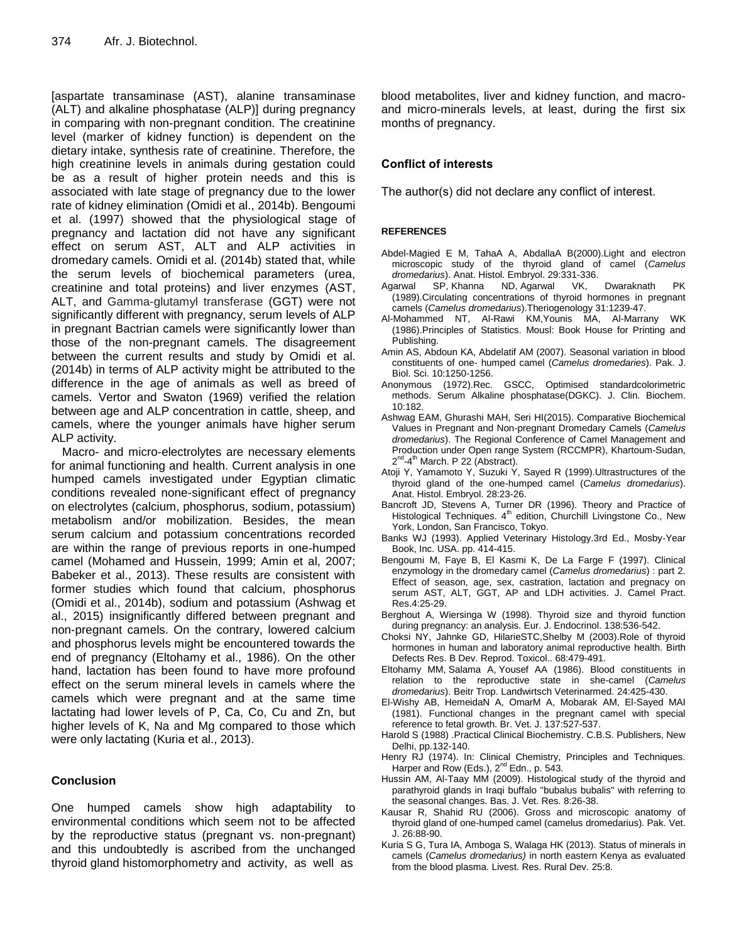[aspartate transaminase (AST), alanine transaminase (ALT) and alkaline phosphatase (ALP)] during pregnancy in comparing with non-pregnant condition. The creatinine level (marker of kidney function) is dependent on the dietary intake, synthesis rate of creatinine. Therefore, the high creatinine levels in animals during gestation could be as a result of higher protein needs and this is associated with late stage of pregnancy due to the lower rate of kidney elimination (Omidi et al., 2014b). Bengoumi et al. (1997) showed that the physiological stage of pregnancy and lactation did not have any significant effect on serum AST, ALT and ALP activities in dromedary camels. Omidi et al. (2014b) stated that, while the serum levels of biochemical parameters (urea, creatinine and total proteins) and liver enzymes (AST, ALT, and Gamma-glutamyl transferase (GGT) were not significantly different with pregnancy, serum levels of ALP in pregnant Bactrian camels were significantly lower than those of the non-pregnant camels. The disagreement between the current results and study by Omidi et al. (2014b) in terms of ALP activity might be attributed to the difference in the age of animals as well as breed of camels. Vertor and Swaton (1969) verified the relation between age and ALP concentration in cattle, sheep, and camels, where the younger animals have higher serum ALP activity.

Macro- and micro-electrolytes are necessary elements for animal functioning and health. Current analysis in one humped camels investigated under Egyptian climatic conditions revealed none-significant effect of pregnancy on electrolytes (calcium, phosphorus, sodium, potassium) metabolism and/or mobilization. Besides, the mean serum calcium and potassium concentrations recorded are within the range of previous reports in one-humped camel (Mohamed and Hussein, 1999; Amin et al, 2007; Babeker et al., 2013). These results are consistent with former studies which found that calcium, phosphorus (Omidi et al., 2014b), sodium and potassium (Ashwag et al., 2015) insignificantly differed between pregnant and non-pregnant camels. On the contrary, lowered calcium and phosphorus levels might be encountered towards the end of pregnancy (Eltohamy et al., 1986). On the other hand, lactation has been found to have more profound effect on the serum mineral levels in camels where the camels which were pregnant and at the same time lactating had lower levels of P, Ca, Co, Cu and Zn, but higher levels of K, Na and Mg compared to those which were only lactating (Kuria et al., 2013).

# **Conclusion**

One humped camels show high adaptability to environmental conditions which seem not to be affected by the reproductive status (pregnant vs. non-pregnant) and this undoubtedly is ascribed from the unchanged thyroid gland histomorphometry and activity, as well as

blood metabolites, liver and kidney function, and macroand micro-minerals levels, at least, during the first six months of pregnancy.

# **Conflict of interests**

The author(s) did not declare any conflict of interest.

### **REFERENCES**

- Abdel-Magied E M, TahaA A, AbdallaA B(2000).Light and electron microscopic study of the thyroid gland of camel (*Camelus dromedarius*). Anat. Histol. Embryol. 29:331-336.
- Agarwal SP, Khanna ND, Agarwal VK, Dwaraknath PK (1989).Circulating concentrations of thyroid hormones in pregnant camels (*Camelus dromedarius*).Theriogenology 31:1239-47.
- Al-Mohammed NT, Al-Rawi KM,Younis MA, Al-Marrany WK (1986).Principles of Statistics. Mousl: Book House for Printing and Publishing.
- Amin AS, Abdoun KA, Abdelatif AM (2007). Seasonal variation in blood constituents of one- humped camel (*Camelus dromedaries*). Pak. J. Biol. Sci. 10:1250-1256.
- Anonymous (1972).Rec. GSCC, Optimised standardcolorimetric methods. Serum Alkaline phosphatase(DGKC). J. Clin. Biochem. 10:182.
- Ashwag EAM, Ghurashi MAH, Seri HI(2015). Comparative Biochemical Values in Pregnant and Non-pregnant Dromedary Camels (*Camelus dromedarius*). The Regional Conference of Camel Management and Production under Open range System (RCCMPR), Khartoum-Sudan, 2<sup>nd</sup>-4<sup>th</sup> March. P 22 (Abstract).
- Atoji Y, Yamamoto Y, Suzuki Y, Sayed R (1999).Ultrastructures of the thyroid gland of the one-humped camel (*Camelus dromedarius*). Anat. Histol. Embryol. 28:23-26.
- Bancroft JD, Stevens A, Turner DR (1996). Theory and Practice of Histological Techniques. 4<sup>th</sup> edition, Churchill Livingstone Co., New York, London, San Francisco, Tokyo.
- Banks WJ (1993). Applied Veterinary Histology.3rd Ed., Mosby-Year Book, Inc. USA. pp. 414-415.
- Bengoumi M, Faye B, El Kasmi K, De La Farge F (1997). Clinical enzymology in the dromedary camel (*Camelus dromedarius*) : part 2. Effect of season, age, sex, castration, lactation and pregnacy on serum AST, ALT, GGT, AP and LDH activities. J. Camel Pract. Res.4:25-29.
- Berghout A, Wiersinga W (1998). Thyroid size and thyroid function during pregnancy: an analysis. Eur. J. Endocrinol. 138:536-542.
- Choksi NY, Jahnke GD, HilarieSTC,Shelby M (2003).Role of thyroid hormones in human and laboratory animal reproductive health. Birth Defects Res. B Dev. Reprod. Toxicol.. 68:479-491.
- Eltohamy MM, Salama A, Yousef AA (1986). Blood constituents in relation to the reproductive state in she-camel (*Camelus dromedarius*). Beitr Trop. Landwirtsch Veterinarmed. 24:425-430.
- El-Wishy AB, HemeidaN A, OmarM A, Mobarak AM, El-Sayed MAI (1981). Functional changes in the pregnant camel with special reference to fetal growth. Br. Vet. J. 137:527-537.
- Harold S (1988) .Practical Clinical Biochemistry. C.B.S. Publishers, New Delhi, pp.132-140.
- Henry RJ (1974). In: Clinical Chemistry, Principles and Techniques. Harper and Row (Eds.), 2<sup>nd</sup> Edn., p. 543.
- Hussin AM, Al-Taay MM (2009). Histological study of the thyroid and parathyroid glands in Iraqi buffalo "bubalus bubalis" with referring to the seasonal changes. Bas. J. Vet. Res. 8:26-38.
- Kausar R, Shahid RU (2006). Gross and microscopic anatomy of thyroid gland of one-humped camel (camelus dromedarius). Pak. Vet. J. 26:88-90.
- Kuria S G, Tura IA, Amboga S, Walaga HK (2013). Status of minerals in camels (*Camelus dromedarius)* in north eastern Kenya as evaluated from the blood plasma. Livest. Res. Rural Dev. 25:8.